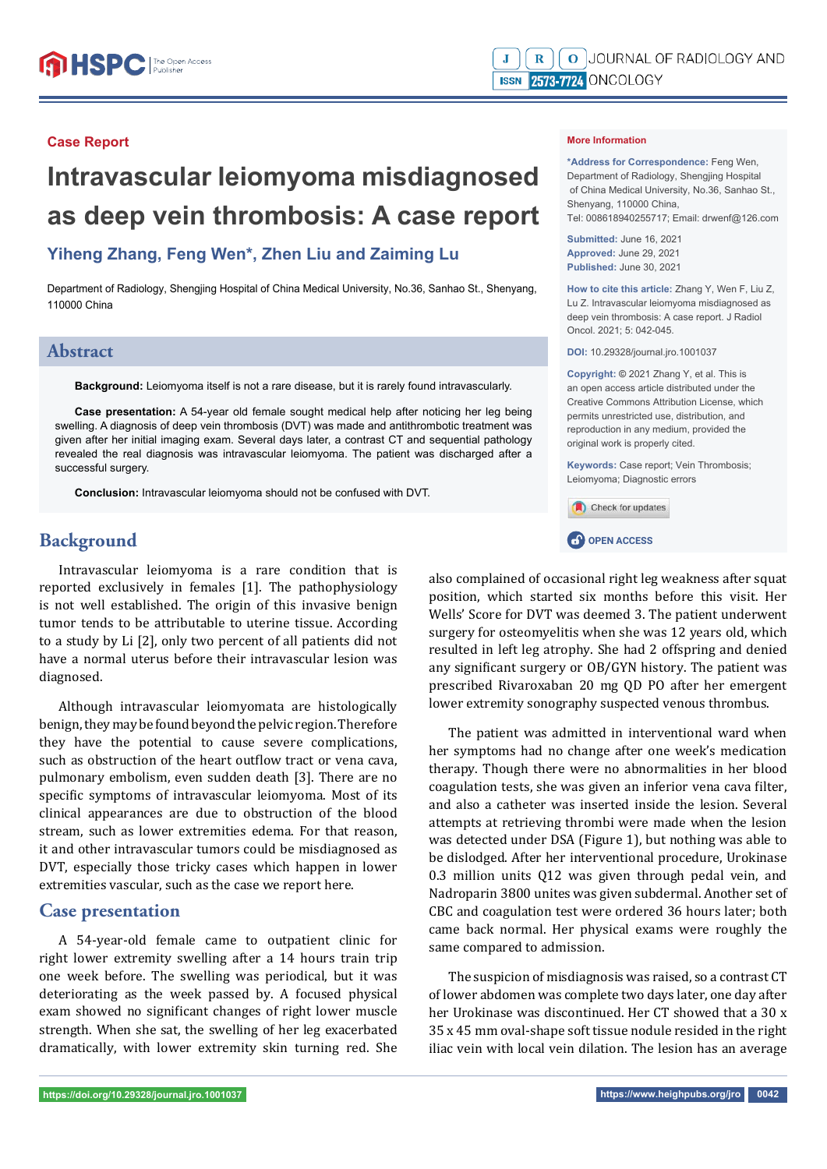### **Case Report**

# **Intravascular leiomyoma misdiagnosed as deep vein thrombosis: A case report**

# **Yiheng Zhang, Feng Wen\*, Zhen Liu and Zaiming Lu**

Department of Radiology, Shengjing Hospital of China Medical University, No.36, Sanhao St., Shenyang, 110000 China

# **Abstract**

**Background:** Leiomyoma itself is not a rare disease, but it is rarely found intravascularly.

**Case presentation:** A 54-year old female sought medical help after noticing her leg being swelling. A diagnosis of deep vein thrombosis (DVT) was made and antithrombotic treatment was given after her initial imaging exam. Several days later, a contrast CT and sequential pathology revealed the real diagnosis was intravascular leiomyoma. The patient was discharged after a successful surgery.

**Conclusion:** Intravascular leiomyoma should not be confused with DVT.

# **Background**

Intravascular leiomyoma is a rare condition that is reported exclusively in females [1]. The pathophysiology is not well established. The origin of this invasive benign tumor tends to be attributable to uterine tissue. According to a study by Li [2], only two percent of all patients did not have a normal uterus before their intravascular lesion was diagnosed.

Although intravascular leiomyomata are histologically benign, they may be found beyond the pelvic region. Therefore they have the potential to cause severe complications, such as obstruction of the heart outflow tract or vena cava, pulmonary embolism, even sudden death [3]. There are no specific symptoms of intravascular leiomyoma. Most of its clinical appearances are due to obstruction of the blood stream, such as lower extremities edema. For that reason, it and other intravascular tumors could be misdiagnosed as DVT, especially those tricky cases which happen in lower extremities vascular, such as the case we report here.

# **Case presentation**

A 54-year-old female came to outpatient clinic for right lower extremity swelling after a 14 hours train trip one week before. The swelling was periodical, but it was deteriorating as the week passed by. A focused physical exam showed no significant changes of right lower muscle strength. When she sat, the swelling of her leg exacerbated dramatically, with lower extremity skin turning red. She

#### **More Information**

**\*Address for Correspondence:** Feng Wen, Department of Radiology, Shengjing Hospital of China Medical University, No.36, Sanhao St., Shenyang, 110000 China, Tel: 008618940255717; Email: drwenf@126.com

**Submitted:** June 16, 2021 **Approved:** June 29, 2021 **Published:** June 30, 2021

**How to cite this article:** Zhang Y, Wen F, Liu Z, Lu Z. Intravascular leiomyoma misdiagnosed as deep vein thrombosis: A case report. J Radiol Oncol. 2021; 5: 042-045.

**DOI:** 10.29328/journal.jro.1001037

**Copyright: ©** 2021 Zhang Y, et al. This is an open access article distributed under the Creative Commons Attribution License, which permits unrestricted use, distribution, and reproduction in any medium, provided the original work is properly cited.

**Keywords:** Case report; Vein Thrombosis; Leiomyoma; Diagnostic errors

Check for updates

**CP** OPEN ACCESS

also complained of occasional right leg weakness after squat position, which started six months before this visit. Her Wells' Score for DVT was deemed 3. The patient underwent surgery for osteomyelitis when she was 12 years old, which resulted in left leg atrophy. She had 2 offspring and denied any significant surgery or OB/GYN history. The patient was prescribed Rivaroxaban 20 mg QD PO after her emergent lower extremity sonography suspected venous thrombus.

The patient was admitted in interventional ward when her symptoms had no change after one week's medication therapy. Though there were no abnormalities in her blood coagulation tests, she was given an inferior vena cava filter, and also a catheter was inserted inside the lesion. Several attempts at retrieving thrombi were made when the lesion was detected under DSA (Figure 1), but nothing was able to be dislodged. After her interventional procedure, Urokinase 0.3 million units Q12 was given through pedal vein, and Nadroparin 3800 unites was given subdermal. Another set of CBC and coagulation test were ordered 36 hours later; both came back normal. Her physical exams were roughly the same compared to admission.

The suspicion of misdiagnosis was raised, so a contrast CT of lower abdomen was complete two days later, one day after her Urokinase was discontinued. Her CT showed that a 30 x 35 x 45 mm oval-shape soft tissue nodule resided in the right iliac vein with local vein dilation. The lesion has an average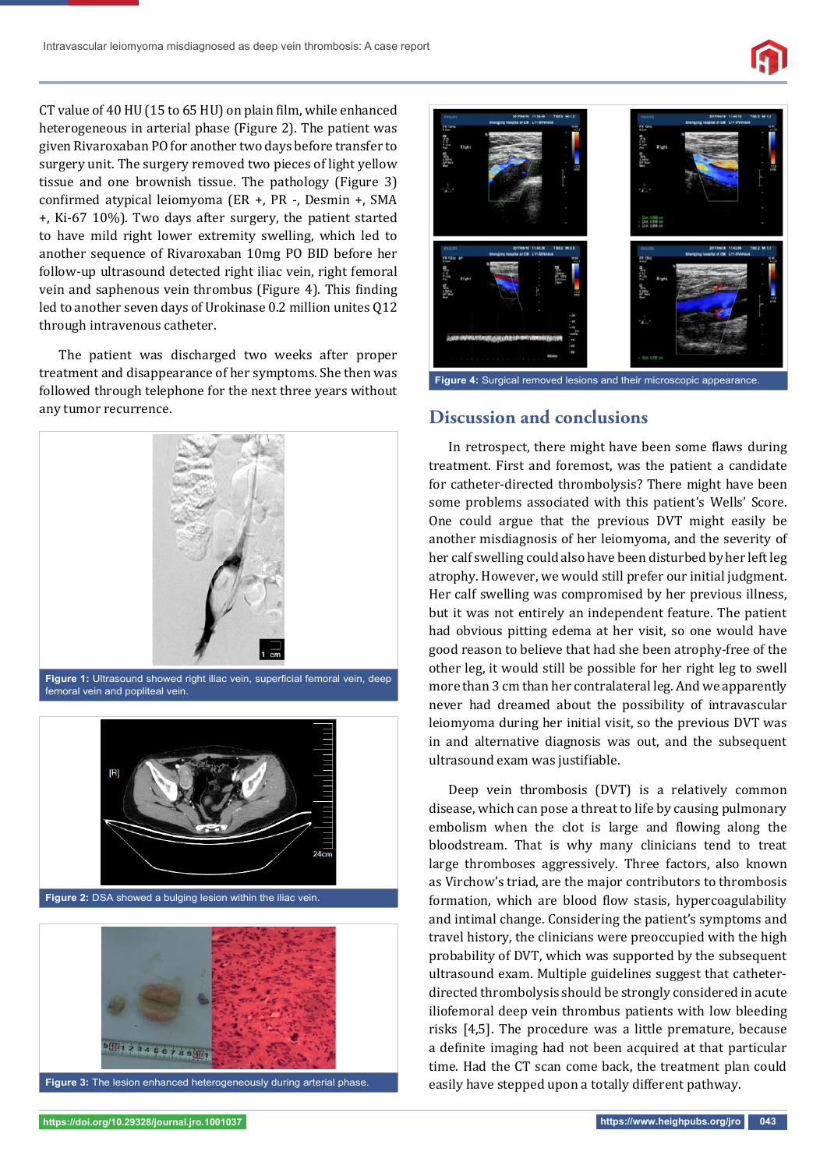CT value of 40 HU (15 to 65 HU) on plain film, while enhanced heterogeneous in arterial phase (Figure 2). The patient was given Rivaroxaban PO for another two days before transfer to surgery unit. The surgery removed two pieces of light yellow tissue and one brownish tissue. The pathology (Figure 3) confirmed atypical leiomyoma (ER +, PR -, Desmin +, SMA +, Ki-67 10%). Two days after surgery, the patient started to have mild right lower extremity swelling, which led to another sequence of Rivaroxaban 10mg PO BID before her follow-up ultrasound detected right iliac vein, right femoral vein and saphenous vein thrombus (Figure 4). This finding led to another seven days of Urokinase 0.2 million unites Q12 through intravenous catheter.

The patient was discharged two weeks after proper treatment and disappearance of her symptoms. She then was followed through telephone for the next three years without any tumor recurrence. **Discussion and conclusions**



**Figure 1:** Ultrasound showed right iliac vein, superficial femoral vein, deep femoral vein and popliteal vein.







**Figure 4:** Surgical removed lesions and their microscopic appearance.

In retrospect, there might have been some flaws during treatment. First and foremost, was the patient a candidate for catheter-directed thrombolysis? There might have been some problems associated with this patient's Wells' Score. One could argue that the previous DVT might easily be another misdiagnosis of her leiomyoma, and the severity of her calf swelling could also have been disturbed by her left leg atrophy. However, we would still prefer our initial judgment. Her calf swelling was compromised by her previous illness, but it was not entirely an independent feature. The patient had obvious pitting edema at her visit, so one would have good reason to believe that had she been atrophy-free of the other leg, it would still be possible for her right leg to swell more than 3 cm than her contralateral leg. And we apparently never had dreamed about the possibility of intravascular leiomyoma during her initial visit, so the previous DVT was in and alternative diagnosis was out, and the subsequent ultrasound exam was justifiable.

Deep vein thrombosis (DVT) is a relatively common disease, which can pose a threat to life by causing pulmonary embolism when the clot is large and flowing along the bloodstream. That is why many clinicians tend to treat large thromboses aggressively. Three factors, also known as Virchow's triad, are the major contributors to thrombosis formation, which are blood flow stasis, hypercoagulability and intimal change. Considering the patient's symptoms and travel history, the clinicians were preoccupied with the high probability of DVT, which was supported by the subsequent ultrasound exam. Multiple guidelines suggest that catheterdirected thrombolysis should be strongly considered in acute iliofemoral deep vein thrombus patients with low bleeding risks [4,5]. The procedure was a little premature, because a definite imaging had not been acquired at that particular time. Had the CT scan come back, the treatment plan could easily have stepped upon a totally different pathway.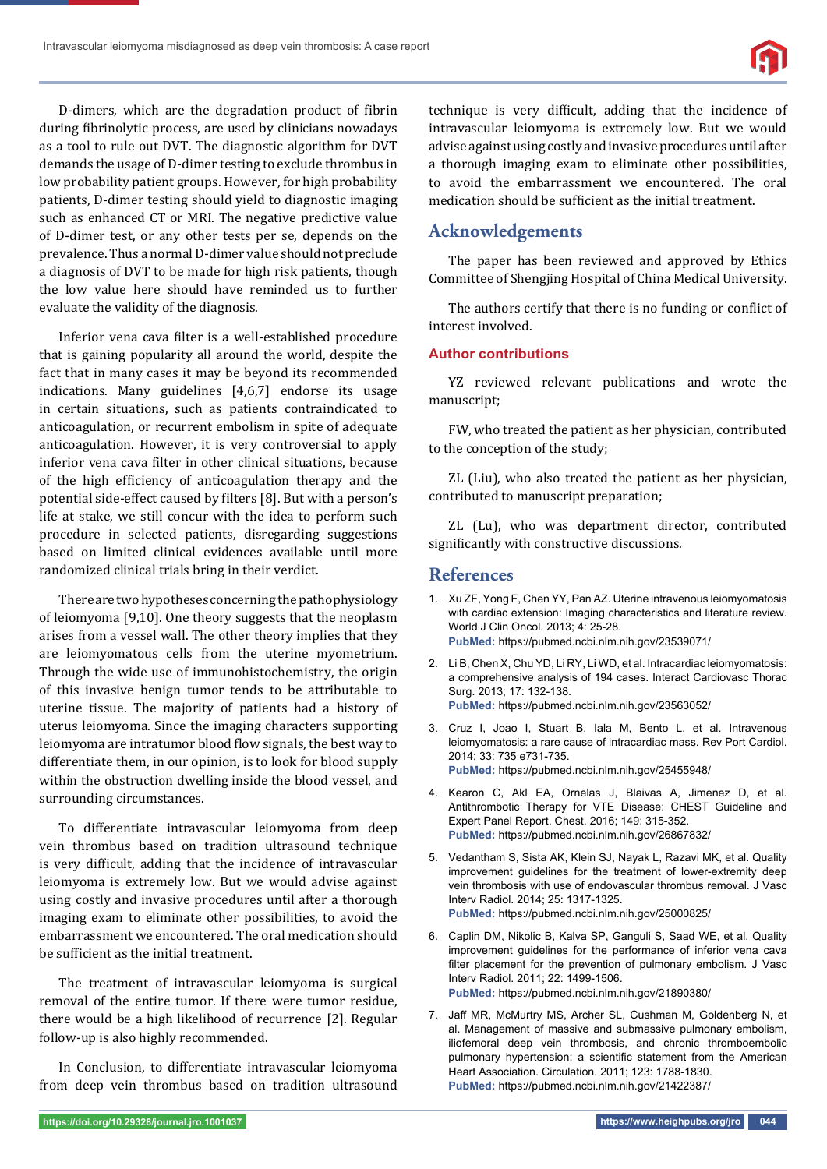D-dimers, which are the degradation product of fibrin during fibrinolytic process, are used by clinicians nowadays as a tool to rule out DVT. The diagnostic algorithm for DVT demands the usage of D-dimer testing to exclude thrombus in low probability patient groups. However, for high probability patients, D-dimer testing should yield to diagnostic imaging such as enhanced CT or MRI. The negative predictive value of D-dimer test, or any other tests per se, depends on the prevalence. Thus a normal D-dimer value should not preclude a diagnosis of DVT to be made for high risk patients, though the low value here should have reminded us to further evaluate the validity of the diagnosis.

Inferior vena cava filter is a well-established procedure that is gaining popularity all around the world, despite the fact that in many cases it may be beyond its recommended indications. Many guidelines [4,6,7] endorse its usage in certain situations, such as patients contraindicated to anticoagulation, or recurrent embolism in spite of adequate anticoagulation. However, it is very controversial to apply inferior vena cava filter in other clinical situations, because of the high efficiency of anticoagulation therapy and the potential side-effect caused by filters [8]. But with a person's life at stake, we still concur with the idea to perform such procedure in selected patients, disregarding suggestions based on limited clinical evidences available until more randomized clinical trials bring in their verdict.

There are two hypotheses concerning the pathophysiology of leiomyoma [9,10]. One theory suggests that the neoplasm arises from a vessel wall. The other theory implies that they are leiomyomatous cells from the uterine myometrium. Through the wide use of immunohistochemistry, the origin of this invasive benign tumor tends to be attributable to uterine tissue. The majority of patients had a history of uterus leiomyoma. Since the imaging characters supporting leiomyoma are intratumor blood flow signals, the best way to differentiate them, in our opinion, is to look for blood supply within the obstruction dwelling inside the blood vessel, and surrounding circumstances.

To differentiate intravascular leiomyoma from deep vein thrombus based on tradition ultrasound technique is very difficult, adding that the incidence of intravascular leiomyoma is extremely low. But we would advise against using costly and invasive procedures until after a thorough imaging exam to eliminate other possibilities, to avoid the embarrassment we encountered. The oral medication should be sufficient as the initial treatment.

The treatment of intravascular leiomyoma is surgical removal of the entire tumor. If there were tumor residue, there would be a high likelihood of recurrence [2]. Regular follow-up is also highly recommended.

In Conclusion, to differentiate intravascular leiomyoma from deep vein thrombus based on tradition ultrasound technique is very difficult, adding that the incidence of intravascular leiomyoma is extremely low. But we would advise against using costly and invasive procedures until after a thorough imaging exam to eliminate other possibilities, to avoid the embarrassment we encountered. The oral medication should be sufficient as the initial treatment.

# **Acknowledgements**

The paper has been reviewed and approved by Ethics Committee of Shengjing Hospital of China Medical University.

The authors certify that there is no funding or conflict of interest involved.

#### **Author contributions**

YZ reviewed relevant publications and wrote the manuscript;

FW, who treated the patient as her physician, contributed to the conception of the study;

ZL (Liu), who also treated the patient as her physician, contributed to manuscript preparation;

ZL (Lu), who was department director, contributed significantly with constructive discussions.

# **References**

- 1. Xu ZF, Yong F, Chen YY, Pan AZ. Uterine intravenous leiomyomatosis with cardiac extension: Imaging characteristics and literature review. World J Clin Oncol. 2013; 4: 25-28. **PubMed:** https://pubmed.ncbi.nlm.nih.gov/23539071/
- 2. Li B, Chen X, Chu YD, Li RY, Li WD, et al. Intracardiac leiomyomatosis: a comprehensive analysis of 194 cases. Interact Cardiovasc Thorac Surg. 2013; 17: 132-138. **PubMed:** https://pubmed.ncbi.nlm.nih.gov/23563052/
- 3. Cruz I, Joao I, Stuart B, Iala M, Bento L, et al. Intravenous leiomyomatosis: a rare cause of intracardiac mass. Rev Port Cardiol. 2014; 33: 735 e731-735. **PubMed:** https://pubmed.ncbi.nlm.nih.gov/25455948/
- 4. Kearon C, Akl EA, Ornelas J, Blaivas A, Jimenez D, et al. Antithrombotic Therapy for VTE Disease: CHEST Guideline and Expert Panel Report. Chest. 2016; 149: 315-352. **PubMed:** https://pubmed.ncbi.nlm.nih.gov/26867832/
- 5. Vedantham S, Sista AK, Klein SJ, Nayak L, Razavi MK, et al. Quality improvement guidelines for the treatment of lower-extremity deep vein thrombosis with use of endovascular thrombus removal. J Vasc Interv Radiol. 2014; 25: 1317-1325. **PubMed:** https://pubmed.ncbi.nlm.nih.gov/25000825/
- 6. Caplin DM, Nikolic B, Kalva SP, Ganguli S, Saad WE, et al. Quality improvement guidelines for the performance of inferior vena cava filter placement for the prevention of pulmonary embolism. J Vasc Interv Radiol. 2011; 22: 1499-1506. **PubMed:** https://pubmed.ncbi.nlm.nih.gov/21890380/
- 7. Jaff MR, McMurtry MS, Archer SL, Cushman M, Goldenberg N, et al. Management of massive and submassive pulmonary embolism, iliofemoral deep vein thrombosis, and chronic thromboembolic pulmonary hypertension: a scientific statement from the American Heart Association. Circulation. 2011; 123: 1788-1830. **PubMed:** https://pubmed.ncbi.nlm.nih.gov/21422387/